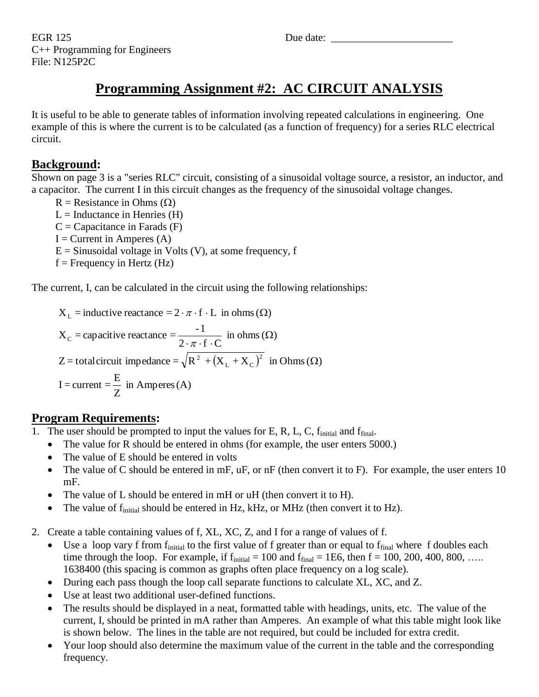EGR 125 Due date: C++ Programming for Engineers File: N125P2C

## **Programming Assignment #2: AC CIRCUIT ANALYSIS**

It is useful to be able to generate tables of information involving repeated calculations in engineering. One example of this is where the current is to be calculated (as a function of frequency) for a series RLC electrical circuit.

### **Background:**

Shown on page 3 is a "series RLC" circuit, consisting of a sinusoidal voltage source, a resistor, an inductor, and a capacitor. The current I in this circuit changes as the frequency of the sinusoidal voltage changes.

 $R =$  Resistance in Ohms  $(\Omega)$  $L = Inductance in Henries (H)$  $C =$ Capacitance in Farads  $(F)$  $I =$  Current in Amperes  $(A)$  $E =$  Sinusoidal voltage in Volts (V), at some frequency, f  $f =$  Frequency in Hertz (Hz)

The current, I, can be calculated in the circuit using the following relationships:

Z = total circuit impedance =  $\sqrt{R^2 + (X_L + X_C)^2}$  in Ohms ( $\Omega$ )  $\frac{1}{Z}$  in Amperes (A)  $\rm I= current = \frac{\rm E}{\rm E}$  $\frac{1}{2 \cdot \pi \cdot f \cdot C}$  in ohms  $(\Omega)$  $X_c$  = capacitive reactance =  $\frac{-1}{2 \cdot \pi \cdot f \cdot C}$  in ohms ( $\Omega$  $X_L$  = inductive reactance =  $2 \cdot \pi \cdot f \cdot L$  in ohms  $(\Omega)$  $L$   $\cdot$   $\cdot$   $\cdot$  C  $^{2}$  +  $(X, +X_{0})^{2}$  in Ohms ( $\Omega$ 

### **Program Requirements:**

- 1. The user should be prompted to input the values for E, R, L, C,  $f_{initial}$  and  $f_{final}$ .
	- The value for R should be entered in ohms (for example, the user enters 5000.)
	- The value of E should be entered in volts
	- The value of C should be entered in mF,  $uF$ , or  $nF$  (then convert it to F). For example, the user enters 10 mF.
	- The value of L should be entered in mH or uH (then convert it to H).
	- The value of f<sub>initial</sub> should be entered in Hz, kHz, or MHz (then convert it to Hz).
- 2. Create a table containing values of f, XL, XC, Z, and I for a range of values of f.
	- Use a loop vary f from  $f_{initial}$  to the first value of f greater than or equal to  $f_{final}$  where f doubles each time through the loop. For example, if  $f<sub>initial</sub> = 100$  and  $f<sub>final</sub> = 1E6$ , then  $f = 100, 200, 400, 800, \ldots$ . 1638400 (this spacing is common as graphs often place frequency on a log scale).
	- During each pass though the loop call separate functions to calculate XL, XC, and Z.
	- Use at least two additional user-defined functions.
	- The results should be displayed in a neat, formatted table with headings, units, etc. The value of the current, I, should be printed in mA rather than Amperes. An example of what this table might look like is shown below. The lines in the table are not required, but could be included for extra credit.
	- Your loop should also determine the maximum value of the current in the table and the corresponding frequency.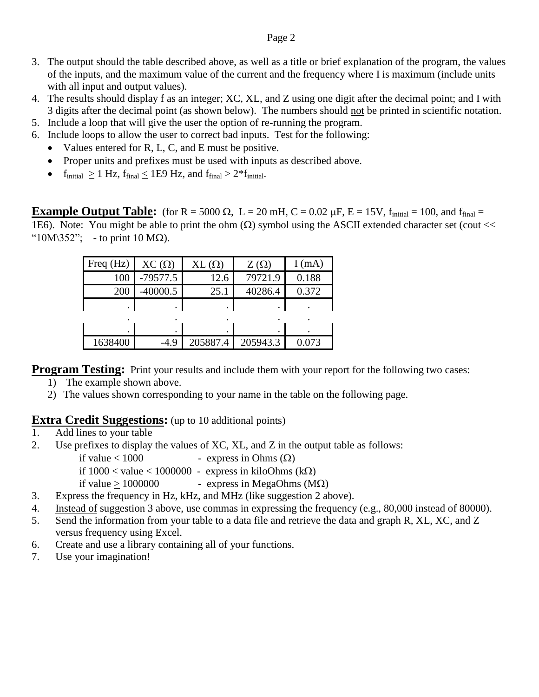- 3. The output should the table described above, as well as a title or brief explanation of the program, the values of the inputs, and the maximum value of the current and the frequency where I is maximum (include units with all input and output values).
- 4. The results should display f as an integer; XC, XL, and Z using one digit after the decimal point; and I with 3 digits after the decimal point (as shown below). The numbers should not be printed in scientific notation.
- 5. Include a loop that will give the user the option of re-running the program.
- 6. Include loops to allow the user to correct bad inputs. Test for the following:
	- Values entered for R, L, C, and E must be positive.
	- Proper units and prefixes must be used with inputs as described above.
	- $f_{initial} > 1$  Hz,  $f_{final} < 1E9$  Hz, and  $f_{final} > 2*f_{initial}$ .

**Example Output Table:** (for R = 5000  $\Omega$ , L = 20 mH, C = 0.02  $\mu$ F, E = 15V, f<sub>initial</sub> = 100, and f<sub>final</sub> = 1E6). Note: You might be able to print the ohm  $(\Omega)$  symbol using the ASCII extended character set (cout << " $10M\frac{352}{\cdot}$  - to print 10 M $\Omega$ ).

| Freq $(Hz)$ | $XC(\Omega)$ | $XL(\Omega)$ | $Z(\Omega)$ | I(mA) |
|-------------|--------------|--------------|-------------|-------|
| 100         | $-79577.5$   | 12.6         | 79721.9     | 0.188 |
| 200         | $-40000.5$   | 25.1         | 40286.4     | 0.372 |
|             |              |              |             |       |
|             |              |              |             |       |
| ٠           | ٠            | $\bullet$    | $\bullet$   |       |
| 1638400     | $-4.9$       | 205887.4     | 205943.3    | 0.073 |

**Program Testing:** Print your results and include them with your report for the following two cases:

- 1) The example shown above.
- 2) The values shown corresponding to your name in the table on the following page.

#### **Extra Credit Suggestions:** (up to 10 additional points)

- 1. Add lines to your table
- 2. Use prefixes to display the values of XC, XL, and Z in the output table as follows:

if value  $< 1000$  - express in Ohms  $(\Omega)$ 

if  $1000 <$  value  $< 1000000$  - express in kiloOhms (k $\Omega$ )

- if value >  $1000000$  express in MegaOhms (M $\Omega$ )
- 3. Express the frequency in Hz, kHz, and MHz (like suggestion 2 above).
- 4. Instead of suggestion 3 above, use commas in expressing the frequency (e.g., 80,000 instead of 80000).
- 5. Send the information from your table to a data file and retrieve the data and graph R, XL, XC, and Z versus frequency using Excel.
- 6. Create and use a library containing all of your functions.
- 7. Use your imagination!